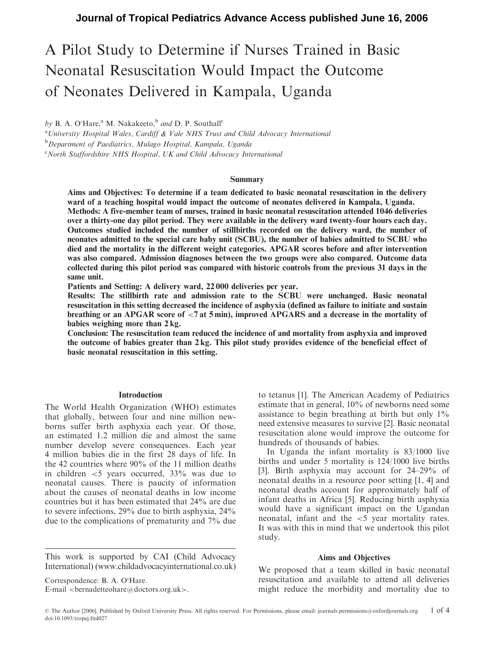# A Pilot Study to Determine if Nurses Trained in Basic Neonatal Resuscitation Would Impact the Outcome of Neonates Delivered in Kampala, Uganda

by B. A. O'Hare,<sup>a</sup> M. Nakakeeto,<sup>b</sup> and D. P. Southall<sup>c</sup>

<sup>a</sup> University Hospital Wales, Cardiff & Vale NHS Trust and Child Advocacy International <sup>b</sup>Department of Paediatrics, Mulago Hospital, Kampala, Uganda <sup>c</sup>North Staffordshire NHS Hospital, UK and Child Advocacy International

#### Summary

Aims and Objectives: To determine if a team dedicated to basic neonatal resuscitation in the delivery ward of a teaching hospital would impact the outcome of neonates delivered in Kampala, Uganda. Methods: A five-member team of nurses, trained in basic neonatal resuscitation attended 1046 deliveries over a thirty-one day pilot period. They were available in the delivery ward twenty-four hours each day. Outcomes studied included the number of stillbirths recorded on the delivery ward, the number of neonates admitted to the special care baby unit (SCBU), the number of babies admitted to SCBU who died and the mortality in the different weight categories. APGAR scores before and after intervention was also compared. Admission diagnoses between the two groups were also compared. Outcome data collected during this pilot period was compared with historic controls from the previous 31 days in the same unit.

Patients and Setting: A delivery ward, 22 000 deliveries per year.

Results: The stillbirth rate and admission rate to the SCBU were unchanged. Basic neonatal resuscitation in this setting decreased the incidence of asphyxia (defined as failure to initiate and sustain breathing or an APGAR score of <7 at 5 min), improved APGARS and a decrease in the mortality of babies weighing more than 2 kg.

Conclusion: The resuscitation team reduced the incidence of and mortality from asphyxia and improved the outcome of babies greater than 2 kg. This pilot study provides evidence of the beneficial effect of basic neonatal resuscitation in this setting.

### Introduction

The World Health Organization (WHO) estimates that globally, between four and nine million newborns suffer birth asphyxia each year. Of those, an estimated 1.2 million die and almost the same number develop severe consequences. Each year 4 million babies die in the first 28 days of life. In the 42 countries where 90% of the 11 million deaths in children <5 years occurred, 33% was due to neonatal causes. There is paucity of information about the causes of neonatal deaths in low income countries but it has been estimated that 24% are due to severe infections, 29% due to birth asphyxia, 24% due to the complications of prematurity and 7% due

This work is supported by CAI (Child Advocacy International) (www.childadvocacyinternational.co.uk)

Correspondence: B. A. O'Hare.

E-mail  $\leq$  bernadetteohare@doctors.org.uk>.

to tetanus [1]. The American Academy of Pediatrics estimate that in general, 10% of newborns need some assistance to begin breathing at birth but only  $1\%$ need extensive measures to survive [2]. Basic neonatal resuscitation alone would improve the outcome for hundreds of thousands of babies.

In Uganda the infant mortality is 83/1000 live births and under 5 mortality is 124/1000 live births [3]. Birth asphyxia may account for 24–29% of neonatal deaths in a resource poor setting [1, 4] and neonatal deaths account for approximately half of infant deaths in Africa [5]. Reducing birth asphyxia would have a significant impact on the Ugandan neonatal, infant and the <5 year mortality rates. It was with this in mind that we undertook this pilot study.

# Aims and Objectives

We proposed that a team skilled in basic neonatal resuscitation and available to attend all deliveries might reduce the morbidity and mortality due to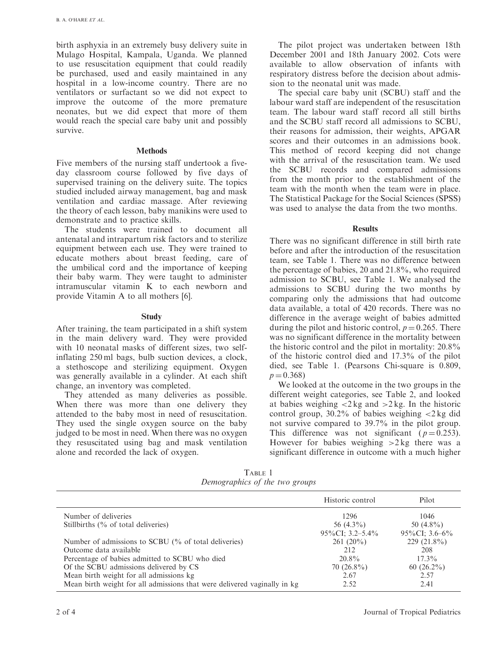birth asphyxia in an extremely busy delivery suite in Mulago Hospital, Kampala, Uganda. We planned to use resuscitation equipment that could readily be purchased, used and easily maintained in any hospital in a low-income country. There are no ventilators or surfactant so we did not expect to improve the outcome of the more premature neonates, but we did expect that more of them would reach the special care baby unit and possibly survive.

#### **Methods**

Five members of the nursing staff undertook a fiveday classroom course followed by five days of supervised training on the delivery suite. The topics studied included airway management, bag and mask ventilation and cardiac massage. After reviewing the theory of each lesson, baby manikins were used to demonstrate and to practice skills.

The students were trained to document all antenatal and intrapartum risk factors and to sterilize equipment between each use. They were trained to educate mothers about breast feeding, care of the umbilical cord and the importance of keeping their baby warm. They were taught to administer intramuscular vitamin K to each newborn and provide Vitamin A to all mothers [6].

#### **Study**

After training, the team participated in a shift system in the main delivery ward. They were provided with 10 neonatal masks of different sizes, two selfinflating 250 ml bags, bulb suction devices, a clock, a stethoscope and sterilizing equipment. Oxygen was generally available in a cylinder. At each shift change, an inventory was completed.

They attended as many deliveries as possible. When there was more than one delivery they attended to the baby most in need of resuscitation. They used the single oxygen source on the baby judged to be most in need. When there was no oxygen they resuscitated using bag and mask ventilation alone and recorded the lack of oxygen.

The pilot project was undertaken between 18th December 2001 and 18th January 2002. Cots were available to allow observation of infants with respiratory distress before the decision about admission to the neonatal unit was made.

The special care baby unit (SCBU) staff and the labour ward staff are independent of the resuscitation team. The labour ward staff record all still births and the SCBU staff record all admissions to SCBU, their reasons for admission, their weights, APGAR scores and their outcomes in an admissions book. This method of record keeping did not change with the arrival of the resuscitation team. We used the SCBU records and compared admissions from the month prior to the establishment of the team with the month when the team were in place. The Statistical Package for the Social Sciences (SPSS) was used to analyse the data from the two months.

## Results

There was no significant difference in still birth rate before and after the introduction of the resuscitation team, see Table 1. There was no difference between the percentage of babies, 20 and 21.8%, who required admission to SCBU, see Table 1. We analysed the admissions to SCBU during the two months by comparing only the admissions that had outcome data available, a total of 420 records. There was no difference in the average weight of babies admitted during the pilot and historic control,  $p = 0.265$ . There was no significant difference in the mortality between the historic control and the pilot in mortality: 20.8% of the historic control died and 17.3% of the pilot died, see Table 1. (Pearsons Chi-square is 0.809,  $p = 0.368$ 

We looked at the outcome in the two groups in the different weight categories, see Table 2, and looked at babies weighing  $\langle 2 \text{ kg} \rangle$  and  $\langle 2 \text{ kg} \rangle$ . In the historic control group,  $30.2\%$  of babies weighing  $\langle 2 \text{ kg } \text{did} \rangle$ not survive compared to 39.7% in the pilot group. This difference was not significant ( $p = 0.253$ ). However for babies weighing  $>2$  kg there was a significant difference in outcome with a much higher

TABLE 1 Demographics of the two groups

|                                                                           | Historic control    | Pilot             |
|---------------------------------------------------------------------------|---------------------|-------------------|
| Number of deliveries                                                      | 1296                | 1046              |
| Stillbirths (% of total deliveries)                                       | 56 $(4.3\%)$        | 50 $(4.8\%)$      |
|                                                                           | $95\%$ CI: 3.2–5.4% | $95\%$ CI: 3.6–6% |
| Number of admissions to SCBU (% of total deliveries)                      | $261(20\%)$         | $229(21.8\%)$     |
| Outcome data available                                                    | 212                 | 208               |
| Percentage of babies admitted to SCBU who died                            | $20.8\%$            | $17.3\%$          |
| Of the SCBU admissions delivered by CS                                    | $70(26.8\%)$        | $60(26.2\%)$      |
| Mean birth weight for all admissions kg                                   | 2.67                | 2.57              |
| Mean birth weight for all admissions that were delivered vaginally in kg. | 2.52                | 2.41              |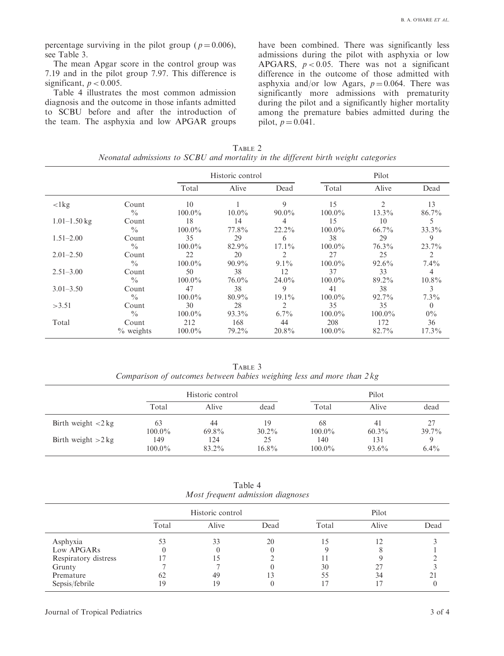percentage surviving in the pilot group ( $p = 0.006$ ), see Table 3.

The mean Apgar score in the control group was 7.19 and in the pilot group 7.97. This difference is significant,  $p < 0.005$ .

Table 4 illustrates the most common admission diagnosis and the outcome in those infants admitted to SCBU before and after the introduction of the team. The asphyxia and low APGAR groups have been combined. There was significantly less admissions during the pilot with asphyxia or low APGARS,  $p < 0.05$ . There was not a significant difference in the outcome of those admitted with asphyxia and/or low Agars,  $p = 0.064$ . There was significantly more admissions with prematurity during the pilot and a significantly higher mortality among the premature babies admitted during the pilot,  $p = 0.041$ .

TABLE 2 Neonatal admissions to SCBU and mortality in the different birth weight categories

|                  |               | Historic control |          |          | Pilot     |                |          |
|------------------|---------------|------------------|----------|----------|-----------|----------------|----------|
|                  |               | Total            | Alive    | Dead     | Total     | Alive          | Dead     |
| $\langle$ 1 $kg$ | Count         | 10               |          | 9        | 15        | $\mathfrak{D}$ | 13       |
|                  | $\frac{0}{0}$ | $100.0\%$        | $10.0\%$ | $90.0\%$ | $100.0\%$ | $13.3\%$       | 86.7%    |
| $1.01 - 1.50$ kg | Count         | 18               | 14       | 4        | 15        | 10             | 5        |
|                  | $\frac{0}{0}$ | $100.0\%$        | 77.8%    | $22.2\%$ | $100.0\%$ | 66.7%          | 33.3%    |
| $1.51 - 2.00$    | Count         | 35               | 29       | 6        | 38        | 29             | 9        |
|                  | $\frac{0}{0}$ | $100.0\%$        | 82.9%    | $17.1\%$ | $100.0\%$ | $76.3\%$       | $23.7\%$ |
| $2.01 - 2.50$    | Count         | 22               | 20       | 2        | 27        | 25             | 2        |
|                  | $\frac{0}{0}$ | $100.0\%$        | $90.9\%$ | $9.1\%$  | $100.0\%$ | $92.6\%$       | $7.4\%$  |
| $2.51 - 3.00$    | Count         | 50               | 38       | 12       | 37        | 33             | 4        |
|                  | $\frac{0}{0}$ | $100.0\%$        | $76.0\%$ | $24.0\%$ | $100.0\%$ | 89.2%          | $10.8\%$ |
| $3.01 - 3.50$    | Count         | 47               | 38       | 9        | 41        | 38             | 3        |
|                  | $\frac{0}{0}$ | $100.0\%$        | $80.9\%$ | $19.1\%$ | $100.0\%$ | 92.7%          | $7.3\%$  |
| >3.51            | Count         | 30               | 28       | 2        | 35        | 35             | $\theta$ |
|                  | $\frac{0}{0}$ | $100.0\%$        | $93.3\%$ | $6.7\%$  | $100.0\%$ | $100.0\%$      | $0\%$    |
| Total            | Count         | 212              | 168      | 44       | 208       | 172            | 36       |
|                  | $\%$ weights  | $100.0\%$        | 79.2%    | $20.8\%$ | $100.0\%$ | 82.7%          | $17.3\%$ |

TABLE 3 Comparison of outcomes between babies weighing less and more than 2 kg

|                                             | Historic control |                |                | Pilot            |                |                |  |
|---------------------------------------------|------------------|----------------|----------------|------------------|----------------|----------------|--|
|                                             | Total            | Alive          | dead           | Total            | Alive          | dead           |  |
| Birth weight $\langle 2 \text{ kg} \rangle$ | 63<br>$100.0\%$  | 44<br>$69.8\%$ | 19<br>$30.2\%$ | 68<br>$100.0\%$  | 41<br>$60.3\%$ | 27<br>$39.7\%$ |  |
| Birth weight $>2$ kg                        | 149<br>$100.0\%$ | 124<br>83.2%   | 25<br>$16.8\%$ | 140<br>$100.0\%$ | 131<br>93.6%   | $6.4\%$        |  |

Table 4 Most frequent admission diagnoses

|                      | Historic control |       |      | Pilot |       |      |
|----------------------|------------------|-------|------|-------|-------|------|
|                      | Total            | Alive | Dead | Total | Alive | Dead |
| Asphyxia             |                  | 33    | 20   |       |       |      |
| Low APGARs           |                  |       |      |       |       |      |
| Respiratory distress |                  |       |      |       |       |      |
| Grunty               |                  |       |      | 30    |       |      |
| Premature            |                  | 49    |      | 55    | 34    |      |
| Sepsis/febrile       | 19               | 19    |      |       |       |      |